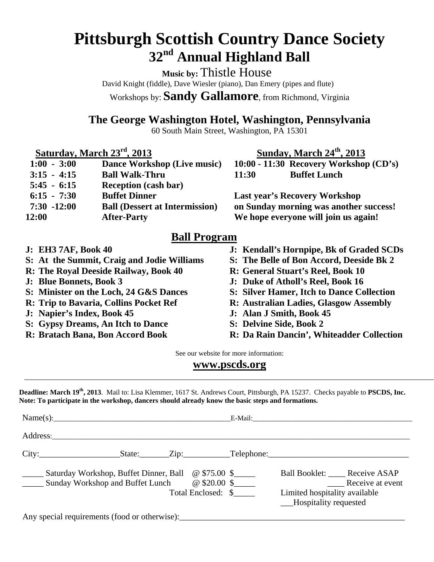# **Pittsburgh Scottish Country Dance Society 32nd Annual Highland Ball**

**Music by:** Thistle House David Knight (fiddle), Dave Wiesler (piano), Dan Emery (pipes and flute) Workshops by: **Sandy Gallamore**, from Richmond, Virginia

**The George Washington Hotel, Washington, Pennsylvania** 

60 South Main Street, Washington, PA 15301

 **Saturday, March 23<sup>rd</sup>, 2013** Sunday, March 24<sup>th</sup>, 2013

| $1:00 - 3:00$  | Dance Workshop (Live music)           |
|----------------|---------------------------------------|
| $3:15 - 4:15$  | <b>Ball Walk-Thru</b>                 |
| $5:45 - 6:15$  | <b>Reception (cash bar)</b>           |
| $6:15 - 7:30$  | <b>Buffet Dinner</b>                  |
| $7:30 - 12:00$ | <b>Ball (Dessert at Intermission)</b> |
| 12:00          | <b>After-Party</b>                    |
|                |                                       |

10:00 - 11:30 Recovery Workshop (CD's) 11:30 **Buffet Lunch** 

**Last year's Recovery Workshop** on Sunday morning was another success! We hope everyone will join us again!

### **Ball Program**

- **J: EH3 7AF, Book 40**
- **S: At the Summit, Craig and Jodie Williams**
- **R: The Royal Deeside Railway, Book 40**
- **J: Blue Bonnets, Book 3**
- **S: Minister on the Loch, 24 G&S Dances**
- **R: Trip to Bavaria, Collins Pocket Ref**
- **J: Napier's Index, Book 45**
- **S: Gypsy Dreams, An Itch to Dance**
- **R: Bratach Bana, Bon Accord Book**
- **J: Kendall's Hornpipe, Bk of Graded SCDs**
- **S: The Belle of Bon Accord, Deeside Bk 2**
- **R: General Stuart's Reel, Book 10**
- **J: Duke of Atholl's Reel, Book 16**
- **S: Silver Hamer, Itch to Dance Collection**
- **R: Australian Ladies, Glasgow Assembly**
- **J: Alan J Smith, Book 45**
- **S: Delvine Side, Book 2**
- **R: Da Rain Dancin', Whiteadder Collection**

See our website for more information:

#### **www.pscds.org**

**Deadline: March 19th, 2013**. Mail to: Lisa Klemmer, 1617 St. Andrews Court, Pittsburgh, PA 15237. Checks payable to **PSCDS, Inc. Note: To participate in the workshop, dancers should already know the basic steps and formations.** 

| Name(s): |                                                                                                        |  |  |                                      |  |                                                                                             |                  |
|----------|--------------------------------------------------------------------------------------------------------|--|--|--------------------------------------|--|---------------------------------------------------------------------------------------------|------------------|
|          | Address:                                                                                               |  |  |                                      |  |                                                                                             |                  |
|          |                                                                                                        |  |  |                                      |  | State: Zip: Telephone:                                                                      |                  |
|          | Saturday Workshop, Buffet Dinner, Ball @ \$75.00 \$<br><b>EXAMPLE Sunday Workshop and Buffet Lunch</b> |  |  | $@$ \$20.00 \$<br>Total Enclosed: \$ |  | Ball Booklet: ____ Receive ASAP<br>Limited hospitality available<br>__Hospitality requested | Receive at event |

Any special requirements (food or otherwise):